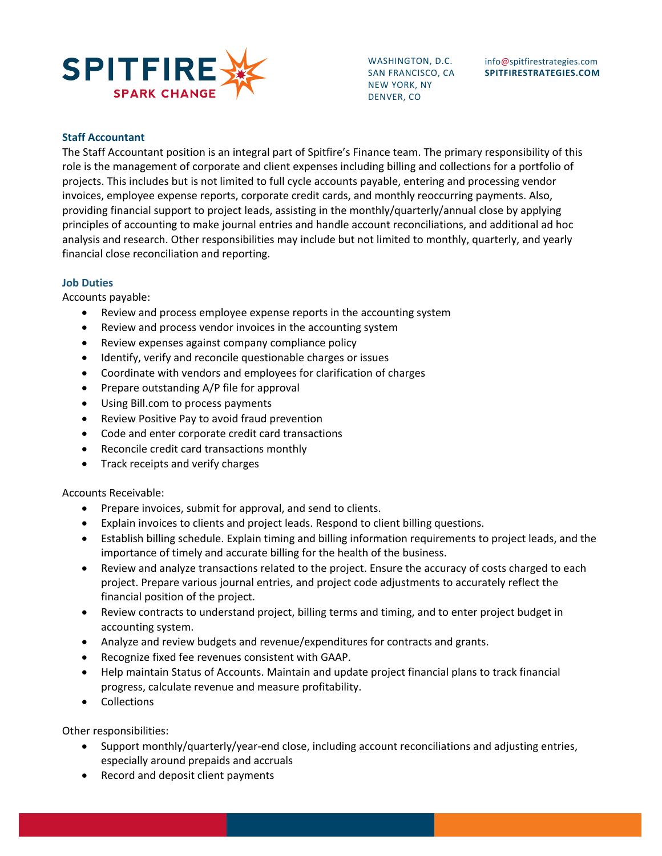

WASHINGTON, D.C. SAN FRANCISCO, CA NEW YORK, NY DENVER, CO

## **Staff Accountant**

The Staff Accountant position is an integral part of Spitfire's Finance team. The primary responsibility of this role is the management of corporate and client expenses including billing and collections for a portfolio of projects. This includes but is not limited to full cycle accounts payable, entering and processing vendor invoices, employee expense reports, corporate credit cards, and monthly reoccurring payments. Also, providing financial support to project leads, assisting in the monthly/quarterly/annual close by applying principles of accounting to make journal entries and handle account reconciliations, and additional ad hoc analysis and research. Other responsibilities may include but not limited to monthly, quarterly, and yearly financial close reconciliation and reporting.

#### **Job Duties**

Accounts payable:

- Review and process employee expense reports in the accounting system
- Review and process vendor invoices in the accounting system
- Review expenses against company compliance policy
- Identify, verify and reconcile questionable charges or issues
- Coordinate with vendors and employees for clarification of charges
- Prepare outstanding A/P file for approval
- Using Bill.com to process payments
- Review Positive Pay to avoid fraud prevention
- Code and enter corporate credit card transactions
- Reconcile credit card transactions monthly
- Track receipts and verify charges

#### Accounts Receivable:

- Prepare invoices, submit for approval, and send to clients.
- Explain invoices to clients and project leads. Respond to client billing questions.
- Establish billing schedule. Explain timing and billing information requirements to project leads, and the importance of timely and accurate billing for the health of the business.
- Review and analyze transactions related to the project. Ensure the accuracy of costs charged to each project. Prepare various journal entries, and project code adjustments to accurately reflect the financial position of the project.
- Review contracts to understand project, billing terms and timing, and to enter project budget in accounting system.
- Analyze and review budgets and revenue/expenditures for contracts and grants.
- Recognize fixed fee revenues consistent with GAAP.
- Help maintain Status of Accounts. Maintain and update project financial plans to track financial progress, calculate revenue and measure profitability.
- Collections

#### Other responsibilities:

- Support monthly/quarterly/year-end close, including account reconciliations and adjusting entries, especially around prepaids and accruals
- Record and deposit client payments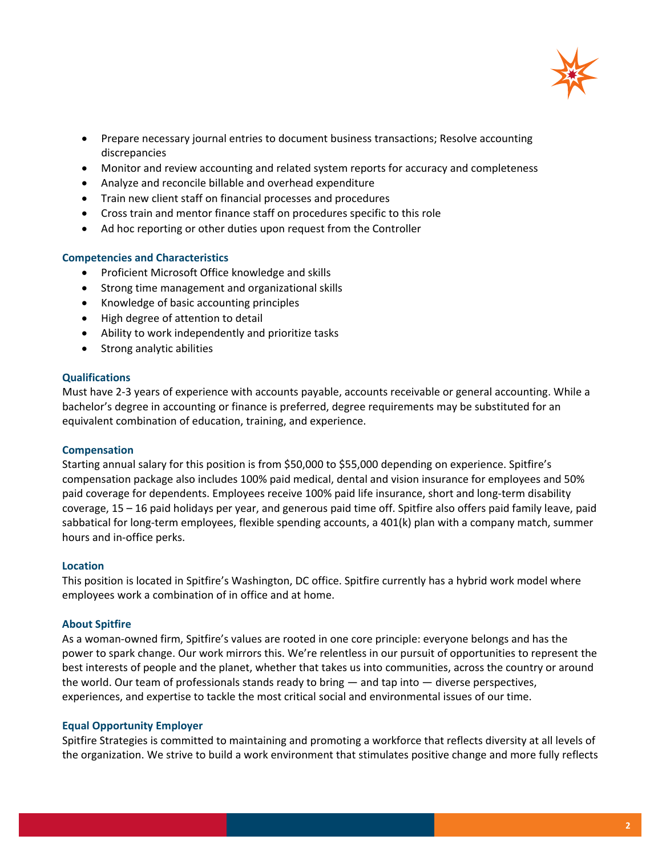

- Prepare necessary journal entries to document business transactions; Resolve accounting discrepancies
- Monitor and review accounting and related system reports for accuracy and completeness
- Analyze and reconcile billable and overhead expenditure
- Train new client staff on financial processes and procedures
- Cross train and mentor finance staff on procedures specific to this role
- Ad hoc reporting or other duties upon request from the Controller

### **Competencies and Characteristics**

- Proficient Microsoft Office knowledge and skills
- Strong time management and organizational skills
- Knowledge of basic accounting principles
- High degree of attention to detail
- Ability to work independently and prioritize tasks
- Strong analytic abilities

### **Qualifications**

Must have 2-3 years of experience with accounts payable, accounts receivable or general accounting. While a bachelor's degree in accounting or finance is preferred, degree requirements may be substituted for an equivalent combination of education, training, and experience.

### **Compensation**

Starting annual salary for this position is from \$50,000 to \$55,000 depending on experience. Spitfire's compensation package also includes 100% paid medical, dental and vision insurance for employees and 50% paid coverage for dependents. Employees receive 100% paid life insurance, short and long-term disability coverage, 15 – 16 paid holidays per year, and generous paid time off. Spitfire also offers paid family leave, paid sabbatical for long-term employees, flexible spending accounts, a 401(k) plan with a company match, summer hours and in-office perks.

#### **Location**

This position is located in Spitfire's Washington, DC office. Spitfire currently has a hybrid work model where employees work a combination of in office and at home.

### **About Spitfire**

As a woman-owned firm, Spitfire's values are rooted in one core principle: everyone belongs and has the power to spark change. Our work mirrors this. We're relentless in our pursuit of opportunities to represent the best interests of people and the planet, whether that takes us into communities, across the country or around the world. Our team of professionals stands ready to bring — and tap into — diverse perspectives, experiences, and expertise to tackle the most critical social and environmental issues of our time.

### **Equal Opportunity Employer**

Spitfire Strategies is committed to maintaining and promoting a workforce that reflects diversity at all levels of the organization. We strive to build a work environment that stimulates positive change and more fully reflects